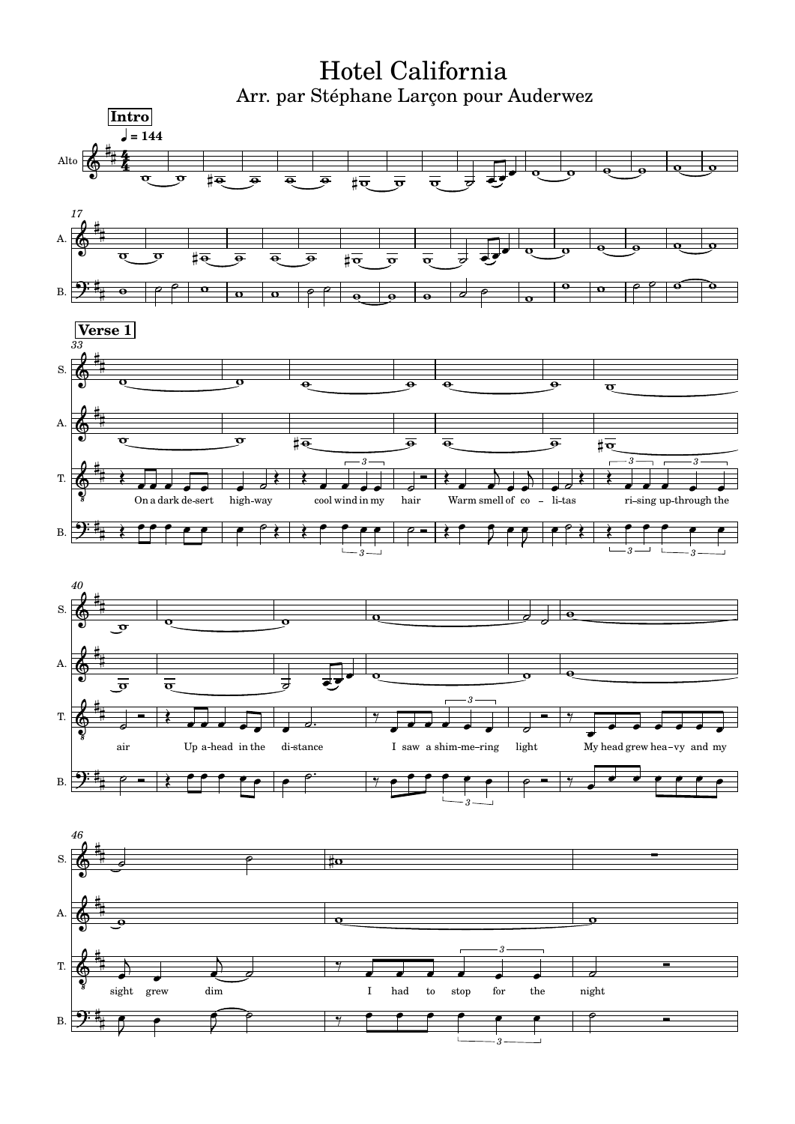Hotel California Arr. par Stéphane Larçon pour Auderwez